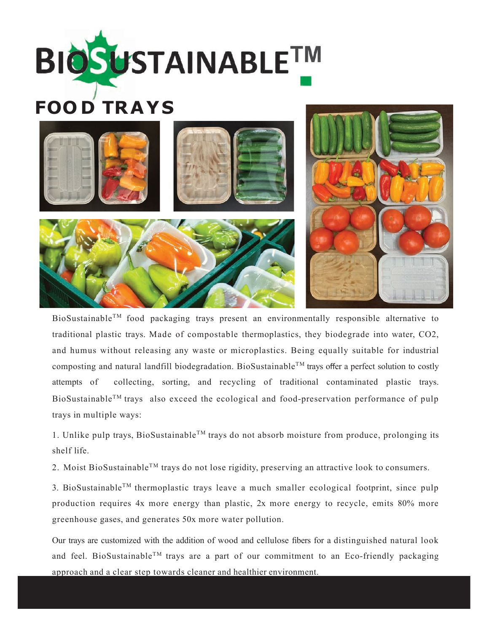



BioSustainableTM food packaging trays present an environmentally responsible alternative to traditional plastic trays. Made of compostable thermoplastics, they biodegrade into water, CO2, and humus without releasing any waste or microplastics. Being equally suitable for industrial composting and natural landfill biodegradation. BioSustainable<sup>TM</sup> trays offer a perfect solution to costly attempts of collecting, sorting, and recycling of traditional contaminated plastic trays. BioSustainable<sup>TM</sup> trays also exceed the ecological and food-preservation performance of pulp trays in multiple ways:

1. Unlike pulp trays, BioSustainable<sup>TM</sup> trays do not absorb moisture from produce, prolonging its shelf life.

2. Moist BioSustainable<sup>TM</sup> trays do not lose rigidity, preserving an attractive look to consumers.

3. BioSustainable<sup>TM</sup> thermoplastic trays leave a much smaller ecological footprint, since pulp production requires 4x more energy than plastic, 2x more energy to recycle, emits 80% more greenhouse gases, and generates 50x more water pollution.

Our trays are customized with the addition of wood and cellulose fibers for a distinguished natural look and feel. BioSustainable<sup>TM</sup> trays are a part of our commitment to an Eco-friendly packaging approach and a clear step towards cleaner and healthier environment.